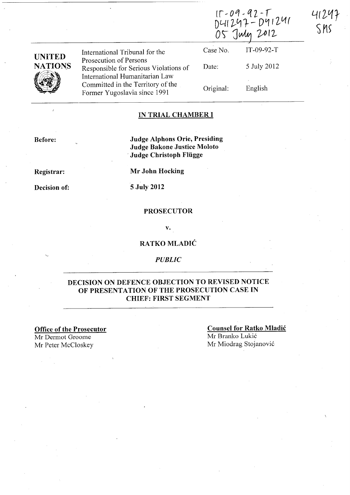|                | International Tribunal for the<br>Prosecution of Persons<br>Responsible for Serious Violations of<br>International Humanitarian Law<br>Committed in the Territory of the<br>Former Yugoslavia since 1991 | 15-09-92-T<br>D41297-D41241<br>05 July 2012 |             | S MS |
|----------------|----------------------------------------------------------------------------------------------------------------------------------------------------------------------------------------------------------|---------------------------------------------|-------------|------|
| <b>UNITED</b>  |                                                                                                                                                                                                          | Case No.                                    | IT-09-92-T  |      |
| <b>NATIONS</b> |                                                                                                                                                                                                          | Date:                                       | 5 July 2012 |      |
|                |                                                                                                                                                                                                          | Original:                                   | English     |      |

#### IN TRIAL CHAMBER I

Before:

 $\overline{1}$ 

Judge Alphons Orie, Presiding Judge Bakone Justice Moloto Judge Christoph Flügge

Registrar:

Decision of:

Mr John Hocking

5 July 2012

#### PROSECUTOR

v.

# RATKO MLADIĆ

#### *PUBLIC*

### DECISION ON DEFENCE OBJECTION TO REVISED NOTICE OF PRESENTATION OF THE PROSECUTION CASE IN CHIEF: FIRST SEGMENT

Office of the Prosecutor Mr Dermot Groome Mr Peter McC10skey

Counsel for Ratko Mladic Mr Branko Lukic Mr Miodrag Stojanovi6

 $22T$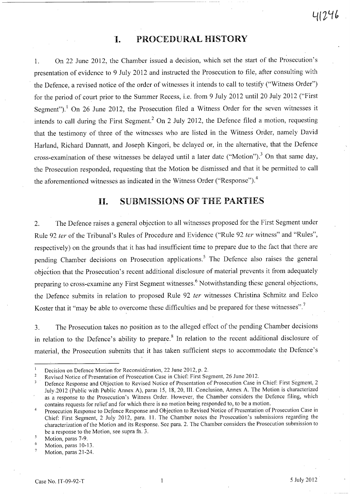### **'I. PROCEDURAL HISTORY**

1. On 22 June 2012, the Chamber issued a decision, which set the start of the Prosecution's presentation of evidence to 9 July 2012 and instructed the Prosecution to file, after consulting with the Defence, a revised notice of the order of witnesses it intends to call to testify ("Witness Order") for the period of court prior to the Summer Recess, i.e. from 9 July 2012 until 20 July 2012 ("First Segment").<sup>1</sup> On 26 June 2012, the Prosecution filed a Witness Order for the seven witnesses it intends to call during the First Segment.<sup>2</sup> On 2 July 2012, the Defence filed a motion, requesting that the testimony of three of the witnesses who are listed in the Witness Order, namely David Harland, Richard Dannatt, and Joseph Kingori, be delayed or, in the alternative, that the Defence cross-examination of these witnesses be delayed until a later date ("Motion").<sup>3</sup> On that same day, the Prosecution responded, requesting that the Motion be dismissed and that it be permitted to call the aforementioned witnesses as indicated in the Witness Order ("Response").<sup>4</sup>

### **11. SUBMISSIONS OF** THE **PARTIES**

2. The Defence raises a general objection to all witnesses proposed for the First Segment under Rule 92 fer of the Tribunal's Rules of Procedure and Evidence ("Rule 92 fer witness" and "Rules", respectively) on the grounds that it has had insufficient time to prepare due to the fact that there are pending Chamber decisions on Prosecution applications.<sup>5</sup> The Defence also raises the general objection that the Prosecution's recent additional disclosure of material prevents it from adequately preparing to cross-examine any First Segment witnesses.<sup>6</sup> Notwithstanding these general objections, the Defence submits in relation to proposed Rule 92 ter witnesses Christina Schmitz and Eelco Koster that it "may be able to overcome these difficulties and be prepared for these witnesses".<sup>7</sup>

3. The Prosecution takes no position as to the alleged effect of the pending Chamber decisions in relation to the Defence's ability to prepare.<sup>8</sup> In relation to the recent additional disclosure of material, the Prosecution submits that it has taken sufficient steps to accommodate the Defence's

Decision on Defence Motion for Reconsideration, 22 June 2012, p. 2.

Revised Notice of Presentation of Prosecution Case in Chief: First Segment, 26 June 2012.  $\overline{2}$ 

Defence Response and Objection to Revised Notice of Presentation of Prosecution Case in Chief: First Segment, 2  $\overline{\mathbf{3}}$ July .2012 (Public with Public Annex A), paras 15, 18,20, III. Conclusion, Annex A. The Motion is characterized as a response to the Prosecution's Witness Order. However, the Chamber considers the Defence filing, which contains requests for relief and for which there is no motion being responded to, to be a motion.

Prosecution Response to Defence Response and Objection to Revised Notice of Presentation of Prosecution Case in  $\overline{4}$ Chief: First Segment, 2 July 2012, para. 11. The Chamber notes the Prosecution's submissions regarding the characterization of the Motion and its Response. See para. 2. The Chamber considers the Prosecution submission to be a response to the Motion, see supra fn. 3.

 $\overline{\mathbf{5}}$ Motion, paras 7-9.

<sup>6</sup> Motion, paras 10-13.

 $\overline{7}$ Motion, paras 21-24.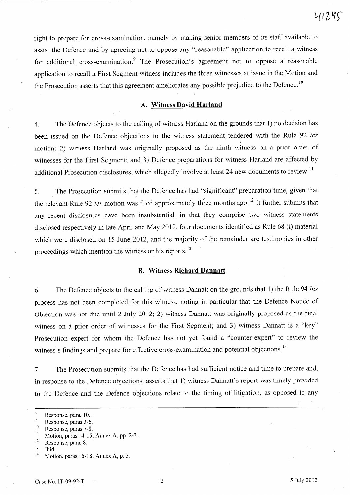right to prepare for cross-examination, namely by making senior members of its staff available to assist the Defence and by agreeing not to oppose any "reasonable" application to recall a witness for additional cross-examination.<sup>9</sup> The Prosecution's agreement not to oppose a reasonable application to recall a First Segment witness includes the three witnesses at issue in the Motion and the Prosecution asserts that this agreement ameliorates any possible prejudice to the Defence.<sup>10</sup>

#### **A. Witness David Harland**

4. The Defence objects to the calling of witness Harland on the grounds that 1) no decision has been issued on the Defence objections to the witness statement tendered with the Rule 92 ter motion; 2) witness Harland was originally proposed as the ninth witness on a prior order of witnesses for the First Segment; and 3) Defence preparations for witness Harland are affected by additional Prosecution disclosures, which allegedly involve at least 24 new documents to review.<sup>11</sup>

5. The Prosecution submits that the Defence has had "significant" preparation time, given that the relevant Rule 92 *ter* motion was filed approximately three months ago.<sup>12</sup> It further submits that any recent disclosures have been insubstantial, in that they comprise two witness statements disclosed respectively in late April and May 2012, four documents identified as Rule 68 (i) material which were disclosed on 15 June 2012, and the majority of the remainder are testimonies in other proceedings which mention the witness or his reports.<sup>13</sup>

#### **B. Witness Richard Dannatt**

6. The Defence objects to the calling of witness Dannatt on the grounds that 1) the Rule 94 *bis*  process has not been completed for this witness, noting in particular that the Defence Notice of Objection was not due until 2 July 2012; 2) witness Dannatt was originally proposed as the final witness on a prior order of witnesses for the First Segment; and 3) witness Dannatt is a "key" Prosecution expert for whom the Defence has not yet found a "counter-expert" to review the witness's findings and prepare for effective cross-examination and potential objections.<sup>14</sup>

7. The Prosecution submits that the Defence has had sufficient notice and time to prepare and, in response to the Defence objections, asserts that 1) witness Dannatt's report was timely provided to the Defence and the Defence objections relate to the timing of litigation, as opposed to any

<sup>11</sup> Motion, paras 14-15, Annex A, pp. 2-3.<br><sup>12</sup> Because para 8

 $\bf 8$ Response, para. 10.

<sup>9</sup> Response, paras 3-6.

 $^{10}$  Response, paras 7-8.

 $\frac{12}{13}$  Response, para. 8.

 $\frac{13}{14}$  Ibid.

Motion, paras 16-18, Annex A, p. 3.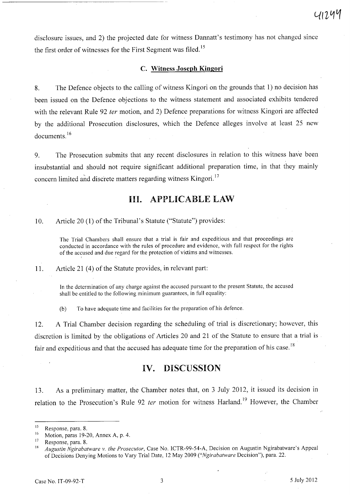disclosure issues, and 2) the projected date for witness Dannatt's testimony has not changed since the first order of witnesses for the First Segment was filed.<sup>15</sup>

#### c. Witness Joseph Kingori

8. The Defence objects to the calling of witness Kingori on the grounds that 1) no decision has been issued on the Defence objections to the witness statement and associated exhibits tendered with the relevant Rule 92 *ter* motion, and 2) Defence preparations for witness Kingori are affected by the additional Prosecution disclosures, which the Defence alleges involve at least 25 new documents. 16

9. The Prosecution submits that any recent disclosures in relation to this witness have been insubstantial and should not require significant additional preparation time, in that they mainly concern limited and discrete matters regarding witness Kingori.<sup>17</sup>

### Ill. APPLICABLE LAW

10. Article 20 (1) of the Tribunal's Statute ("Statute") provides:

The Trial Chambers shall ensure that a trial is fair and expeditious and that proceedings are conducted in accordance with the rules of procedure and evidence, with full respect for the rights of the accused and due regard for the protection of victims and witnesses.

11. Article 21 (4) of the Statute provides, in relevant part:

In the determination of any charge against the accused pursuant to the present Statute, the accused shall be entitled to the following minimum guarantees, in full equality:

(b) To have adequate time and facilities for the preparation of his defence.

12. A Trial Chamber decision regarding the scheduling of trial is discretionary; however, this discretion is limited by the obligations of Articles 20 and 21 of the Statute to ensure that a trial is fair and expeditious and that the accused has adequate time for the preparation of his case.<sup>18</sup>

### IV. DISCUSSION

13. As a preliminary matter, the Chamber notes that, on 3 July 2012, it issued its decision in relation to the Prosecution's Rule 92 ter motion for witness Harland.<sup>19</sup> However, the Chamber

 $^{15}$  Response, para. 8.

<sup>&</sup>lt;sup>16</sup> Motion, paras 19-20, Annex A, p. 4.<br><sup>17</sup> Because para  $\frac{9}{2}$ 

 $\frac{17}{18}$  Response, para. 8.

<sup>18</sup>*Augustin Ngirabatware v. the Prosecutor,* Case No. lCTR-99-54-A, Decision on Augustin Ngirabatware's Appeal of Decisions Denying Motions to Vary Trial Date, 12 May 2009 *("Ngirabatware* Decision"), para. 22.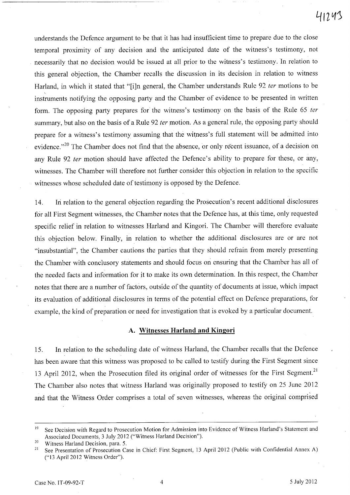understands the Defence argument to be that it has had insufficient time to prepare due to the close temporal proximity of any decision and the anticipated date of the witness's testimony, not necessarily that no decision would be issued at all prior to the witness's testimony. In relation to this general objection, the Chamber recalls the discussion in its decision in relation to witness Harland, in which it stated that "[i]n general, the Chamber understands Rule 92 ter motions to be instruments notifying the opposing party and the Chamber of evidence to be presented in written form. The opposing party prepares for the witness's testimony on the basis of the Rule 65 *ter* summary, but also on the basis of a Rule 92 ter motion. As a general rule, the opposing party should prepare for a witness's testimony assuming that the witness's full statement will be admitted into evidence."<sup>20</sup> The Chamber does not find that the absence, or only recent issuance, of a decision on any Rule 92 fer motion should have affected the Defence's ability to prepare for these, or any, witnesses. The Chamber will therefore not further consider this objection in relation to the specific witnesses whose scheduled date of testimony is opposed by the Defence.

14. Iri relation to the general objection regarding the Prosecution's recent additional disclosures for all First Segment witnesses, the Chamber notes that the Defence has, at this time, only requested specific relief in relation to witnesses Harland and Kingori. The Chamber will therefore evaluate this objection below. Finally, in relation to whether the additional disclosures are or are not "insubstantial", the Chamber cautions the parties that they should refrain from merely presenting the Chamber with conclusory statements and should focus on ensuring that the Chamber has all of the needed facts and information for it to make its own determination. In this respect, the Chamber notes that there are a number of factors, outside of the quantity of documents at issue, which impact its evaluation of additional disclosures in terms of the potential effect on Defence preparations, for example, the kind of preparation or need for investigation that is evoked by a particular document.

#### **A. Witnesses Harland and Kingori**

15. In relation to the scheduling date of witness Harland, the Chamber recalls that the Defence has been aware that this witness was proposed to be called to testify during the First Segment since 13 April 2012, when the Prosecution filed its original order of witnesses for the First Segment.<sup>21</sup> The Chamber also notes that witness Harland was originally proposed to testify on 25 June 2012 and that the Witness Order comprises a total of seven witnesses, whereas the original comprised

<sup>20</sup> Witness Harland Decision, para. 5.<br><sup>21</sup> See Presentation of Prosecution Co

<sup>&</sup>lt;sup>19</sup> See Decision with Regard to Prosecution Motion for Admission into Evidence of Witness Harland's Statement and Associated Documents, 3 July 2012 ("Witness Harland Decision").

See Presentation of Prosecution Case in Chief: First Segment, 13 April 2012 (Public with Confidential Annex A) (" 13 April 2012 Witness Order").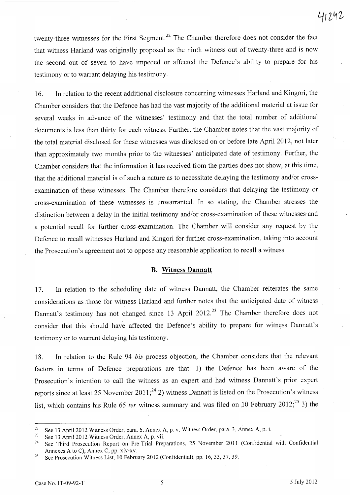twenty-three witnesses for the First Segment.<sup>22</sup> The Chamber therefore does not consider the fact that witness Harland was originally proposed as the ninth witness out of twenty-three and is now the second out of seven to have impeded or affected the Defence's ability to prepare for his testimony or to warrant delaying his testimony.

16. In relation to the recent additional disclosure concerning witnesses Harland and Kingori, the Chamber considers that the Defence has had the vast majority of the additional material at issue for several weeks in advance of the witnesses' testimony and that the total number of additional documents is less than thirty for each witness. Further, the Chamber notes that the vast majority of the total material disclosed for these witnesses was disclosed on or before late April 2012, not later than approximately two months prior to the witnesses' anticipated date of testimony. Further, the Chamber considers that the information it has received from the parties does not show, at this time, that the additional material is of such a nature as to necessitate delaying the testimony and/or crossexamination of these witnesses. The Chamber therefore considers that delaying the testimony or cross-examination of these witnesses is unwarranted. In so stating, the Chamber stresses. the distinction between a delay in the initial testimony and/or cross-examination of these witnesses and a potential recall for further cross-examination. The Chamber will consider any request by the Defence to recall witnesses Harland and Kingori for further cross-examination, taking into account the Prosecution's agreement not to oppose any reasonable application to recall a witness

#### **B. Witness Dannatt**

17. In relation to the scheduling date of witness Dannatt, the Chamber reiterates the same considerations as .those for witness Harland and further notes that the anticipated date of witness Dannatt's testimony has not changed since 13 April 2012.<sup>23</sup> The Chamber therefore does not consider that this should have affected the Defence's ability to prepare for witness Dannatt's testimony or to warrant delaying his testimony.

18. In relation to the Rule 94 *his* process objection, the Chamber considers that the relevant factors in terms of Defence preparations are that: I) the Defence has been aware of the Prosecution's intention to call the witness as an expert and had witness Dannatt's prior expert reports since at least 25 November 2011;<sup>24</sup> 2) witness Dannatt is listed on the Prosecution's witness list, which contains his Rule 65 *ter* witness summary and was filed on 10 February 2012;<sup>25</sup> 3) the

<sup>&</sup>lt;sup>22</sup> See 13 April 2012 Witness Order, para. 6, Annex A, p. v; Witness Order, para. 3, Annex A, p. i.<br><sup>23</sup> See 13 April 2012 Witness Order, Anney A, p. vij

See 13 April 2012 Witness Order, Annex A, p. vii.

<sup>&</sup>lt;sup>24</sup> See Third Prosecution Report on Pre-Trial Preparations, 25 November 2011 (Confidential with Confidential Annexes A to C), Annex C, pp. xiv-xv.

<sup>&</sup>lt;sup>25</sup> See Prosecution Witness List, 10 February 2012 (Confidential), pp. 16, 33, 37, 39.